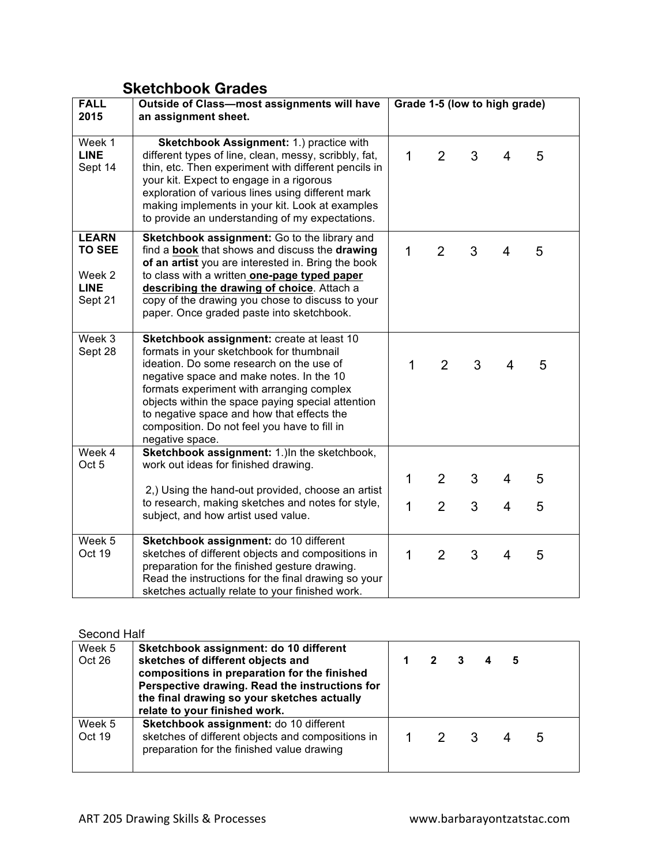## **Sketchbook Grades**

| <b>FALL</b>                                                       | Outside of Class-most assignments will have                                                                                                                                                                                                                                                                                                                                                      | Grade 1-5 (low to high grade) |                |   |                |   |
|-------------------------------------------------------------------|--------------------------------------------------------------------------------------------------------------------------------------------------------------------------------------------------------------------------------------------------------------------------------------------------------------------------------------------------------------------------------------------------|-------------------------------|----------------|---|----------------|---|
| 2015                                                              | an assignment sheet.                                                                                                                                                                                                                                                                                                                                                                             |                               |                |   |                |   |
| Week 1<br><b>LINE</b><br>Sept 14                                  | Sketchbook Assignment: 1.) practice with<br>different types of line, clean, messy, scribbly, fat,<br>thin, etc. Then experiment with different pencils in<br>your kit. Expect to engage in a rigorous<br>exploration of various lines using different mark<br>making implements in your kit. Look at examples<br>to provide an understanding of my expectations.                                 | $\mathbf 1$                   | $\overline{2}$ | 3 | $\overline{4}$ | 5 |
| <b>LEARN</b><br><b>TO SEE</b><br>Week 2<br><b>LINE</b><br>Sept 21 | Sketchbook assignment: Go to the library and<br>find a book that shows and discuss the drawing<br>of an artist you are interested in. Bring the book<br>to class with a written one-page typed paper<br>describing the drawing of choice. Attach a<br>copy of the drawing you chose to discuss to your<br>paper. Once graded paste into sketchbook.                                              | 1                             | $\overline{2}$ | 3 | 4              | 5 |
| Week 3<br>Sept 28                                                 | Sketchbook assignment: create at least 10<br>formats in your sketchbook for thumbnail<br>ideation. Do some research on the use of<br>negative space and make notes. In the 10<br>formats experiment with arranging complex<br>objects within the space paying special attention<br>to negative space and how that effects the<br>composition. Do not feel you have to fill in<br>negative space. | $\mathbf 1$                   | $\overline{2}$ | 3 | 4              | 5 |
| Week 4<br>Oct <sub>5</sub>                                        | Sketchbook assignment: 1.) In the sketchbook,<br>work out ideas for finished drawing.                                                                                                                                                                                                                                                                                                            | $\mathbf 1$                   | $\overline{2}$ | 3 | 4              | 5 |
|                                                                   | 2,) Using the hand-out provided, choose an artist<br>to research, making sketches and notes for style,<br>subject, and how artist used value.                                                                                                                                                                                                                                                    | $\mathbf{1}$                  | $\overline{2}$ | 3 | $\overline{4}$ | 5 |
| Week 5<br>Oct 19                                                  | Sketchbook assignment: do 10 different<br>sketches of different objects and compositions in<br>preparation for the finished gesture drawing.<br>Read the instructions for the final drawing so your<br>sketches actually relate to your finished work.                                                                                                                                           | 1                             | $\overline{2}$ | 3 | $\overline{4}$ | 5 |

## Second Half

| Week 5<br>Oct 26 | Sketchbook assignment: do 10 different<br>sketches of different objects and<br>compositions in preparation for the finished<br>Perspective drawing. Read the instructions for<br>the final drawing so your sketches actually<br>relate to your finished work. |  |     | 5 |   |  |
|------------------|---------------------------------------------------------------------------------------------------------------------------------------------------------------------------------------------------------------------------------------------------------------|--|-----|---|---|--|
| Week 5<br>Oct 19 | Sketchbook assignment: do 10 different<br>sketches of different objects and compositions in<br>preparation for the finished value drawing                                                                                                                     |  | 2 3 |   | 5 |  |